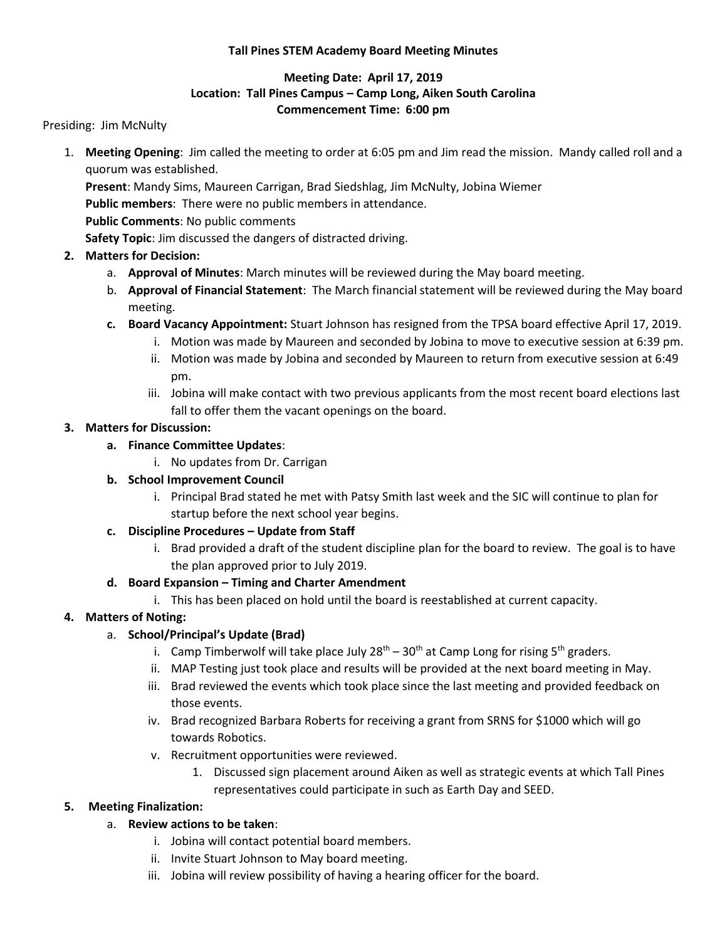#### **Tall Pines STEM Academy Board Meeting Minutes**

#### **Meeting Date: April 17, 2019 Location: Tall Pines Campus – Camp Long, Aiken South Carolina Commencement Time: 6:00 pm**

Presiding: Jim McNulty

- 1. **Meeting Opening**: Jim called the meeting to order at 6:05 pm and Jim read the mission. Mandy called roll and a quorum was established.
	- **Present**: Mandy Sims, Maureen Carrigan, Brad Siedshlag, Jim McNulty, Jobina Wiemer

**Public members**: There were no public members in attendance.

**Public Comments**: No public comments

**Safety Topic**: Jim discussed the dangers of distracted driving.

#### **2. Matters for Decision:**

- a. **Approval of Minutes**: March minutes will be reviewed during the May board meeting.
- b. **Approval of Financial Statement**: The March financial statement will be reviewed during the May board meeting.
- **c. Board Vacancy Appointment:** Stuart Johnson has resigned from the TPSA board effective April 17, 2019.
	- i. Motion was made by Maureen and seconded by Jobina to move to executive session at 6:39 pm.
		- ii. Motion was made by Jobina and seconded by Maureen to return from executive session at 6:49 pm.
	- iii. Jobina will make contact with two previous applicants from the most recent board elections last fall to offer them the vacant openings on the board.

#### **3. Matters for Discussion:**

- **a. Finance Committee Updates**:
	- i. No updates from Dr. Carrigan

## **b. School Improvement Council**

i. Principal Brad stated he met with Patsy Smith last week and the SIC will continue to plan for startup before the next school year begins.

## **c. Discipline Procedures – Update from Staff**

i. Brad provided a draft of the student discipline plan for the board to review. The goal is to have the plan approved prior to July 2019.

#### **d. Board Expansion – Timing and Charter Amendment**

i. This has been placed on hold until the board is reestablished at current capacity.

## **4. Matters of Noting:**

## a. **School/Principal's Update (Brad)**

- i. Camp Timberwolf will take place July  $28^{th} 30^{th}$  at Camp Long for rising 5<sup>th</sup> graders.
- ii. MAP Testing just took place and results will be provided at the next board meeting in May.
- iii. Brad reviewed the events which took place since the last meeting and provided feedback on those events.
- iv. Brad recognized Barbara Roberts for receiving a grant from SRNS for \$1000 which will go towards Robotics.
- v. Recruitment opportunities were reviewed.
	- 1. Discussed sign placement around Aiken as well as strategic events at which Tall Pines representatives could participate in such as Earth Day and SEED.

## **5. Meeting Finalization:**

## a. **Review actions to be taken**:

- i. Jobina will contact potential board members.
- ii. Invite Stuart Johnson to May board meeting.
- iii. Jobina will review possibility of having a hearing officer for the board.